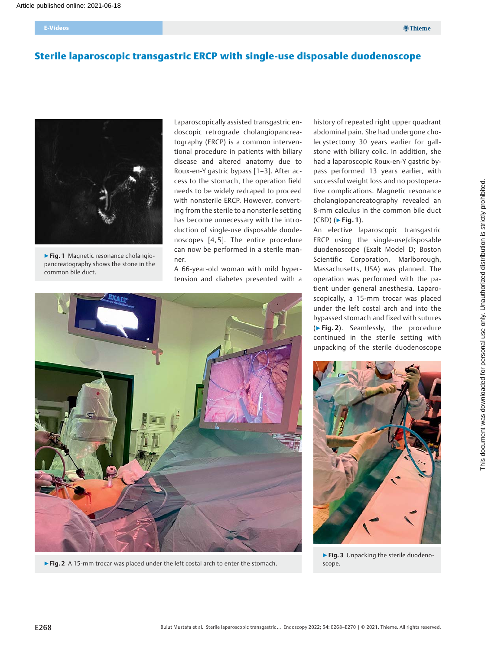E-Videos

# Sterile laparoscopic transgastric ERCP with single-use disposable duodenoscope



▶Fig. 1 Magnetic resonance cholangiopancreatography shows the stone in the common bile duct.

Laparoscopically assisted transgastric endoscopic retrograde cholangiopancreatography (ERCP) is a common interventional procedure in patients with biliary disease and altered anatomy due to Roux-en-Y gastric bypass [1–3]. After access to the stomach, the operation field needs to be widely redraped to proceed with nonsterile ERCP. However, converting from the sterile to a nonsterile setting has become unnecessary with the introduction of single-use disposable duodenoscopes [4, 5]. The entire procedure can now be performed in a sterile manner.

A 66-year-old woman with mild hypertension and diabetes presented with a



▶ Fig. 2 A 15-mm trocar was placed under the left costal arch to enter the stomach.

history of repeated right upper quadrant abdominal pain. She had undergone cholecystectomy 30 years earlier for gallstone with biliary colic. In addition, she had a laparoscopic Roux-en-Y gastric bypass performed 13 years earlier, with successful weight loss and no postoperative complications. Magnetic resonance cholangiopancreatography revealed an 8-mm calculus in the common bile duct  $(CBD)$  ( $\blacktriangleright$  Fig. 1).

An elective laparoscopic transgastric ERCP using the single-use/disposable duodenoscope (Exalt Model D; Boston Scientific Corporation, Marlborough, Massachusetts, USA) was planned. The operation was performed with the patient under general anesthesia. Laparoscopically, a 15-mm trocar was placed under the left costal arch and into the bypassed stomach and fixed with sutures (▶Fig. 2). Seamlessly, the procedure continued in the sterile setting with unpacking of the sterile duodenoscope



▶ Fig. 3 Unpacking the sterile duodenoscope.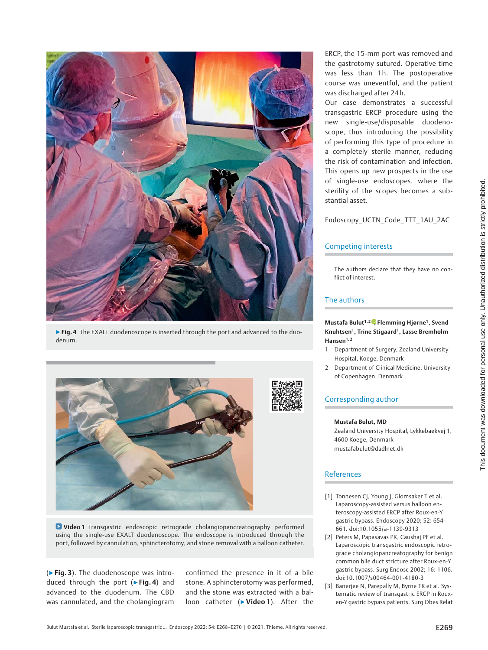

▶ Fig. 4 The EXALT duodenoscope is inserted through the port and advanced to the duodenum.



Video 1 Transgastric endoscopic retrograde cholangiopancreatography performed using the single-use EXALT duodenoscope. The endoscope is introduced through the port, followed by cannulation, sphincterotomy, and stone removal with a balloon catheter.

(▶Fig. 3). The duodenoscope was introduced through the port ( $\triangleright$  Fig. 4) and advanced to the duodenum. The CBD was cannulated, and the cholangiogram

confirmed the presence in it of a bile stone. A sphincterotomy was performed, and the stone was extracted with a balloon catheter (▶Video 1). After the

ERCP, the 15-mm port was removed and the gastrotomy sutured. Operative time was less than 1h. The postoperative course was uneventful, and the patient was discharged after 24 h.

Our case demonstrates a successful transgastric ERCP procedure using the new single-use/disposable duodenoscope, thus introducing the possibility of performing this type of procedure in a completely sterile manner, reducing the risk of contamination and infection. This opens up new prospects in the use of single-use endoscopes, where the sterility of the scopes becomes a substantial asset.

Endoscopy\_UCTN\_Code\_TTT\_1AU\_2AC

## Competing interests

The authors declare that they have no conflict of interest.

## The authors

#### Mustafa Bulut<sup>1[,](https://orcid.org/0000-0003-1553-8180)2</sup>, Flemming Hjørne<sup>1</sup>, Svend Knuhtsen<sup>1</sup>, Trine Stigaard<sup>1</sup>, Lasse Bremholm Hansen<sup>1,2</sup>

- 1 Department of Surgery, Zealand University Hospital, Koege, Denmark
- 2 Department of Clinical Medicine, University of Copenhagen, Denmark

## Corresponding author

#### Mustafa Bulut, MD

Zealand University Hospital, Lykkebaekvej 1, 4600 Koege, Denmark mustafabulut@dadlnet.dk

## References

- [1] Tonnesen CJ, Young J, Glomsaker T et al. Laparoscopy-assisted versus balloon enteroscopy-assisted ERCP after Roux-en-Y gastric bypass. Endoscopy 2020; 52: 654– 661. doi:10.1055/a-1139-9313
- [2] Peters M, Papasavas PK, Caushaj PF et al. Laparoscopic transgastric endoscopic retrograde cholangiopancreatography for benign common bile duct stricture after Roux-en-Y gastric bypass. Surg Endosc 2002; 16: 1106. doi:10.1007/s00464-001-4180-3
- [3] Banerjee N, Parepally M, Byrne TK et al. Systematic review of transgastric ERCP in Rouxen-Y gastric bypass patients. Surg Obes Relat